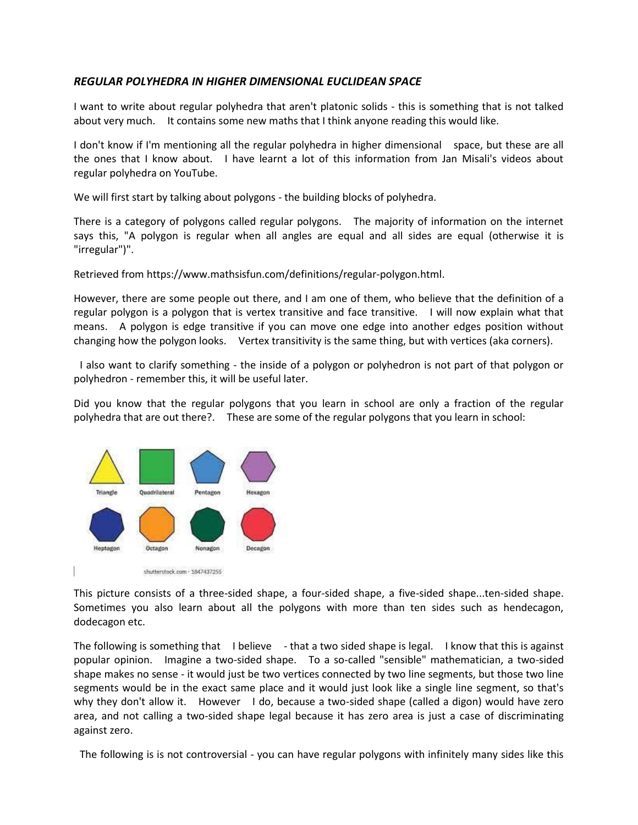### *REGULAR POLYHEDRA IN HIGHER DIMENSIONAL EUCLIDEAN SPACE*

I want to write about regular polyhedra that aren't platonic solids - this is something that is not talked about very much. It contains some new maths that I think anyone reading this would like.

I don't know if I'm mentioning all the regular polyhedra in higher dimensional space, but these are all the ones that I know about. I have learnt a lot of this information from Jan Misali's videos about regular polyhedra on YouTube.

We will first start by talking about polygons - the building blocks of polyhedra.

There is a category of polygons called regular polygons. The majority of information on the internet says this, "A polygon is regular when all angles are equal and all sides are equal (otherwise it is "irregular")".

Retrieved from [https://www.mathsisfun.com/definitions/regular-polygon.html.](https://www.mathsisfun.com/definitions/regular-polygon.html)

However, there are some people out there, and I am one of them, who believe that the definition of a regular polygon is a polygon that is vertex transitive and face transitive. I will now explain what that means. A polygon is edge transitive if you can move one edge into another edges position without changing how the polygon looks. Vertex transitivity is the same thing, but with vertices (aka corners).

 I also want to clarify something - the inside of a polygon or polyhedron is not part of that polygon or polyhedron - remember this, it will be useful later.

Did you know that the regular polygons that you learn in school are only a fraction of the regular polyhedra that are out there?. These are some of the regular polygons that you learn in school:



This picture consists of a three-sided shape, a four-sided shape, a five-sided shape...ten-sided shape. Sometimes you also learn about all the polygons with more than ten sides such as hendecagon, dodecagon etc.

The following is something that I believe - that a two sided shape is legal. I know that this is against popular opinion. Imagine a two-sided shape. To a so-called "sensible" mathematician, a two-sided shape makes no sense - it would just be two vertices connected by two line segments, but those two line segments would be in the exact same place and it would just look like a single line segment, so that's why they don't allow it. However I do, because a two-sided shape (called a digon) would have zero area, and not calling a two-sided shape legal because it has zero area is just a case of discriminating against zero.

The following is is not controversial - you can have regular polygons with infinitely many sides like this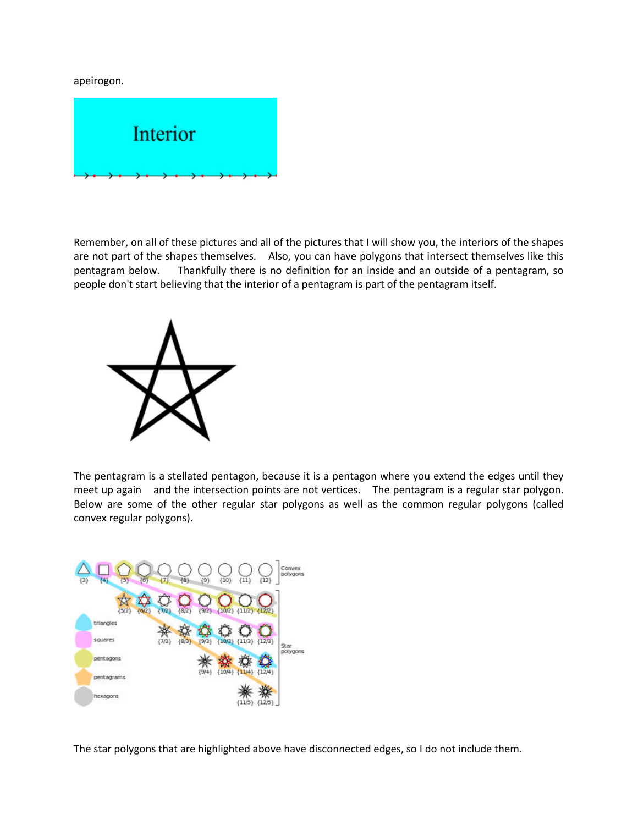apeirogon.



Remember, on all of these pictures and all of the pictures that I will show you, the interiors of the shapes are not part of the shapes themselves. Also, you can have polygons that intersect themselves like this pentagram below. Thankfully there is no definition for an inside and an outside of a pentagram, so people don't start believing that the interior of a pentagram is part of the pentagram itself.



The pentagram is a stellated pentagon, because it is a pentagon where you extend the edges until they meet up again and the intersection points are not vertices. The pentagram is a regular star polygon. Below are some of the other regular star polygons as well as the common regular polygons (called convex regular polygons).



The star polygons that are highlighted above have disconnected edges, so I do not include them.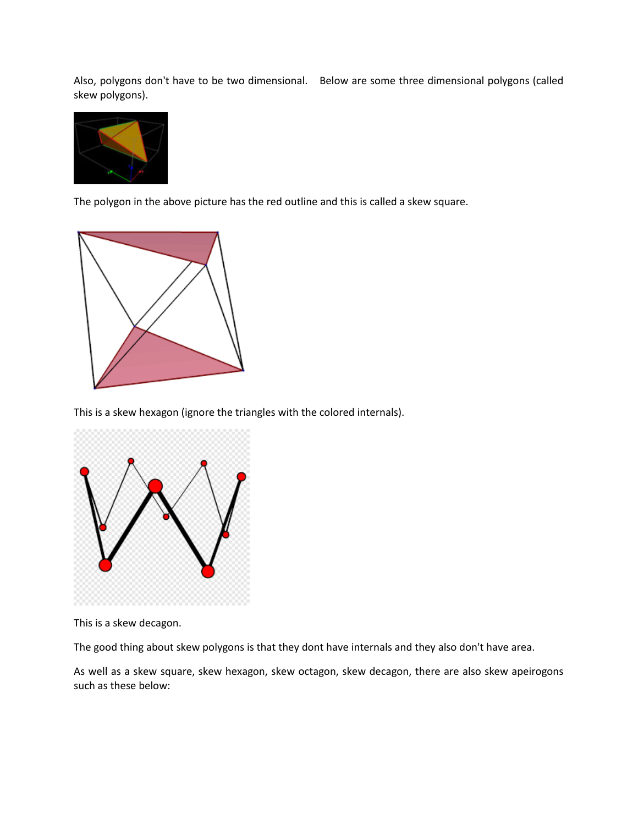Also, polygons don't have to be two dimensional. Below are some three dimensional polygons (called skew polygons).



The polygon in the above picture has the red outline and this is called a skew square.



This is a skew hexagon (ignore the triangles with the colored internals).



This is a skew decagon.

The good thing about skew polygons is that they dont have internals and they also don't have area.

As well as a skew square, skew hexagon, skew octagon, skew decagon, there are also skew apeirogons such as these below: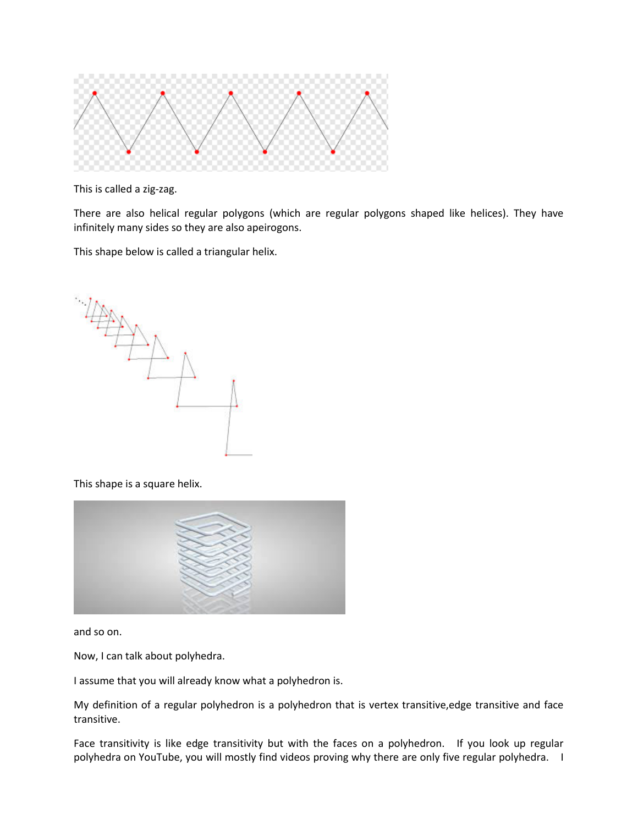

This is called a zig-zag.

There are also helical regular polygons (which are regular polygons shaped like helices). They have infinitely many sides so they are also apeirogons.

This shape below is called a triangular helix.



This shape is a square helix.



and so on.

Now, I can talk about polyhedra.

I assume that you will already know what a polyhedron is.

My definition of a regular polyhedron is a polyhedron that is vertex transitive,edge transitive and face transitive.

Face transitivity is like edge transitivity but with the faces on a polyhedron. If you look up regular polyhedra on YouTube, you will mostly find videos proving why there are only five regular polyhedra. I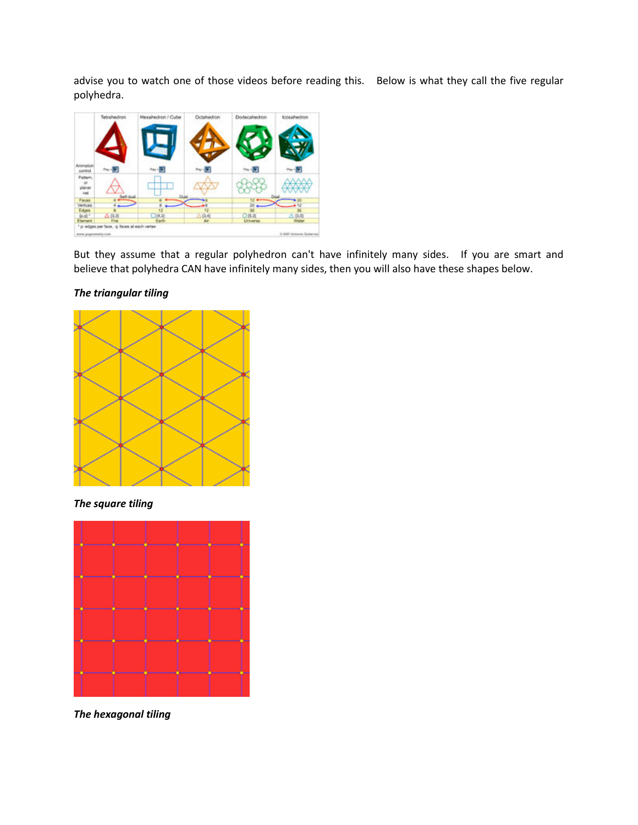advise you to watch one of those videos before reading this. Below is what they call the five regular polyhedra.



But they assume that a regular polyhedron can't have infinitely many sides. If you are smart and believe that polyhedra CAN have infinitely many sides, then you will also have these shapes below.

## *The triangular tiling*



*The square tiling*



*The hexagonal tiling*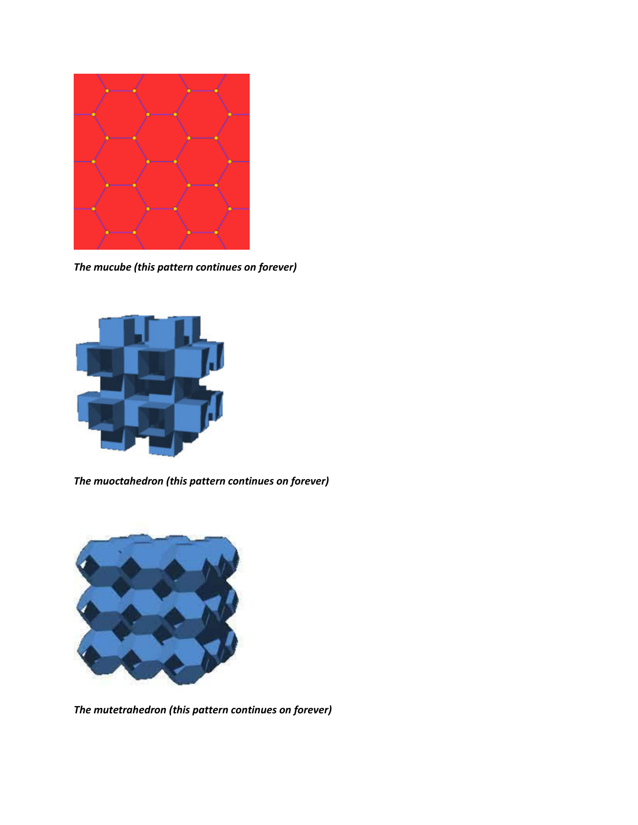

*The mucube (this pattern continues on forever)*



*The muoctahedron (this pattern continues on forever)*



*The mutetrahedron (this pattern continues on forever)*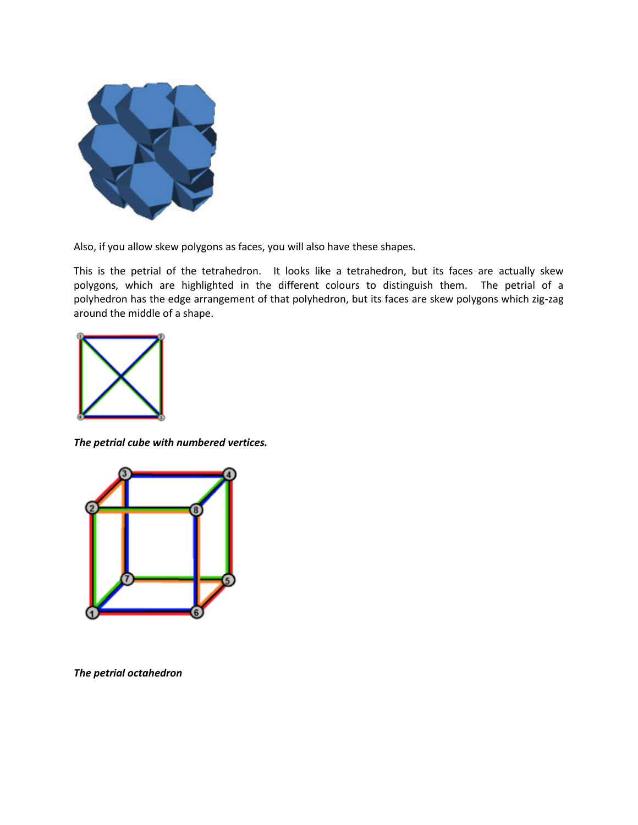![](_page_6_Picture_0.jpeg)

Also, if you allow skew polygons as faces, you will also have these shapes.

This is the petrial of the tetrahedron. It looks like a tetrahedron, but its faces are actually skew polygons, which are highlighted in the different colours to distinguish them. The petrial of a polyhedron has the edge arrangement of that polyhedron, but its faces are skew polygons which zig-zag around the middle of a shape.

![](_page_6_Figure_3.jpeg)

*The petrial cube with numbered vertices.*

![](_page_6_Figure_5.jpeg)

*The petrial octahedron*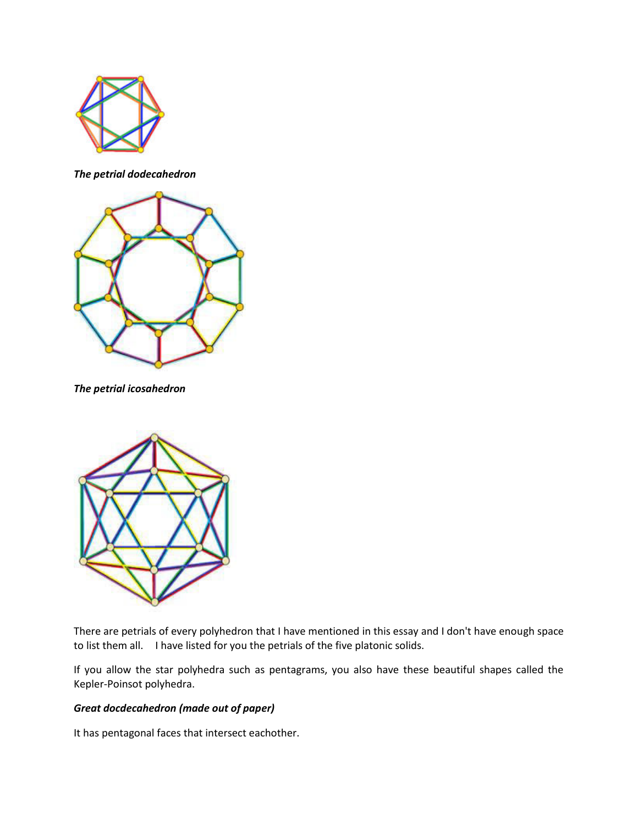![](_page_7_Picture_0.jpeg)

*The petrial dodecahedron*

![](_page_7_Picture_2.jpeg)

*The petrial icosahedron*

![](_page_7_Picture_4.jpeg)

There are petrials of every polyhedron that I have mentioned in this essay and I don't have enough space to list them all. I have listed for you the petrials of the five platonic solids.

If you allow the star polyhedra such as pentagrams, you also have these beautiful shapes called the Kepler-Poinsot polyhedra.

# *Great docdecahedron (made out of paper)*

It has pentagonal faces that intersect eachother.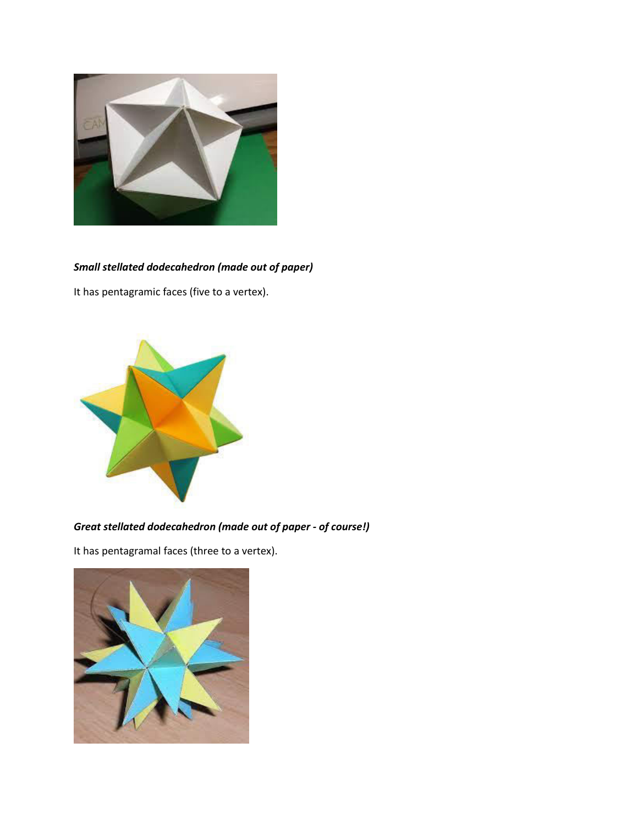![](_page_8_Picture_0.jpeg)

# *Small stellated dodecahedron (made out of paper)*

It has pentagramic faces (five to a vertex).

![](_page_8_Picture_3.jpeg)

*Great stellated dodecahedron (made out of paper - of course!)* 

It has pentagramal faces (three to a vertex).

![](_page_8_Picture_6.jpeg)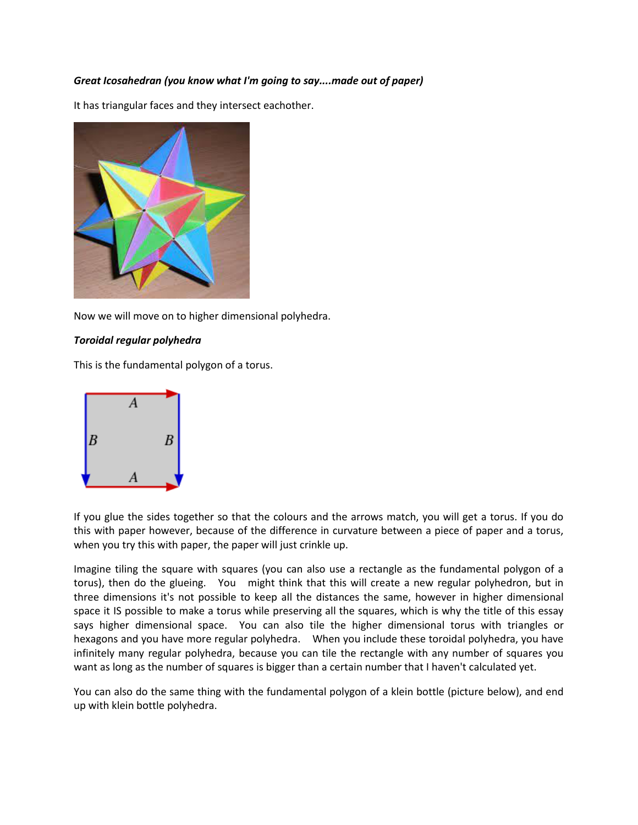### *Great Icosahedran (you know what I'm going to say....made out of paper)*

It has triangular faces and they intersect eachother.

![](_page_9_Picture_2.jpeg)

Now we will move on to higher dimensional polyhedra.

#### *Toroidal regular polyhedra*

This is the fundamental polygon of a torus.

![](_page_9_Figure_6.jpeg)

If you glue the sides together so that the colours and the arrows match, you will get a torus. If you do this with paper however, because of the difference in curvature between a piece of paper and a torus, when you try this with paper, the paper will just crinkle up.

Imagine tiling the square with squares (you can also use a rectangle as the fundamental polygon of a torus), then do the glueing. You might think that this will create a new regular polyhedron, but in three dimensions it's not possible to keep all the distances the same, however in higher dimensional space it IS possible to make a torus while preserving all the squares, which is why the title of this essay says higher dimensional space. You can also tile the higher dimensional torus with triangles or hexagons and you have more regular polyhedra. When you include these toroidal polyhedra, you have infinitely many regular polyhedra, because you can tile the rectangle with any number of squares you want as long as the number of squares is bigger than a certain number that I haven't calculated yet.

You can also do the same thing with the fundamental polygon of a klein bottle (picture below), and end up with klein bottle polyhedra.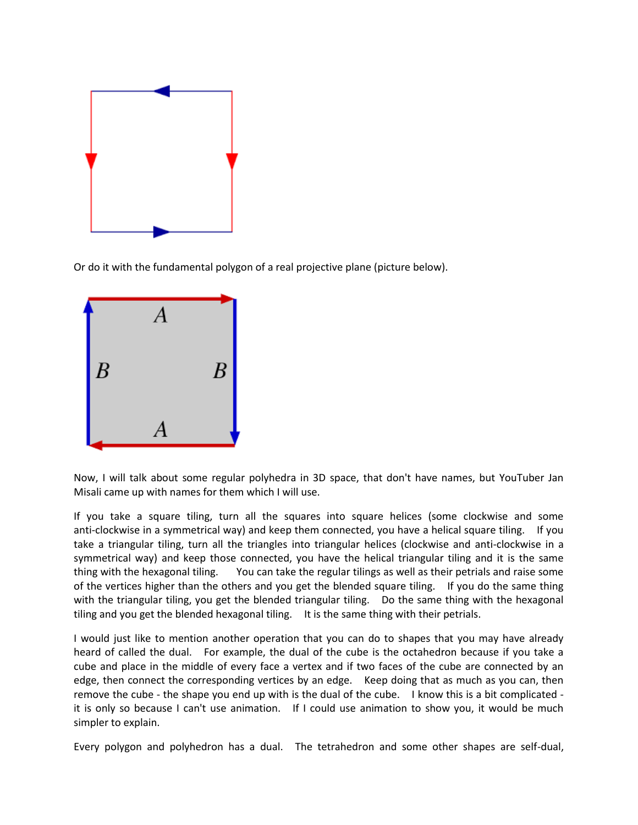![](_page_10_Figure_0.jpeg)

Or do it with the fundamental polygon of a real projective plane (picture below).

![](_page_10_Figure_2.jpeg)

Now, I will talk about some regular polyhedra in 3D space, that don't have names, but YouTuber Jan Misali came up with names for them which I will use.

If you take a square tiling, turn all the squares into square helices (some clockwise and some anti-clockwise in a symmetrical way) and keep them connected, you have a helical square tiling. If you take a triangular tiling, turn all the triangles into triangular helices (clockwise and anti-clockwise in a symmetrical way) and keep those connected, you have the helical triangular tiling and it is the same thing with the hexagonal tiling. You can take the regular tilings as well as their petrials and raise some of the vertices higher than the others and you get the blended square tiling. If you do the same thing with the triangular tiling, you get the blended triangular tiling. Do the same thing with the hexagonal tiling and you get the blended hexagonal tiling. It is the same thing with their petrials.

I would just like to mention another operation that you can do to shapes that you may have already heard of called the dual. For example, the dual of the cube is the octahedron because if you take a cube and place in the middle of every face a vertex and if two faces of the cube are connected by an edge, then connect the corresponding vertices by an edge. Keep doing that as much as you can, then remove the cube - the shape you end up with is the dual of the cube. I know this is a bit complicated it is only so because I can't use animation. If I could use animation to show you, it would be much simpler to explain.

Every polygon and polyhedron has a dual. The tetrahedron and some other shapes are self-dual,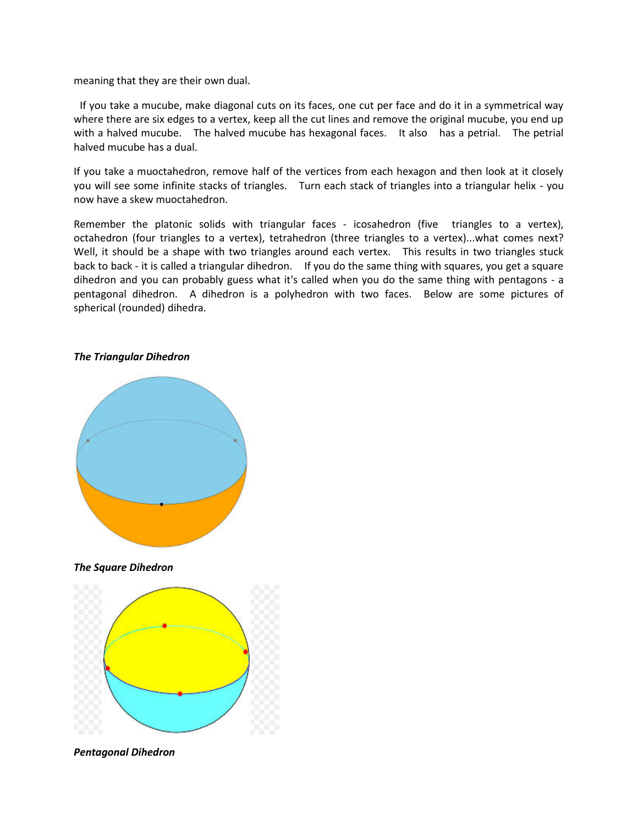meaning that they are their own dual.

 If you take a mucube, make diagonal cuts on its faces, one cut per face and do it in a symmetrical way where there are six edges to a vertex, keep all the cut lines and remove the original mucube, you end up with a halved mucube. The halved mucube has hexagonal faces. It also has a petrial. The petrial halved mucube has a dual.

If you take a muoctahedron, remove half of the vertices from each hexagon and then look at it closely you will see some infinite stacks of triangles. Turn each stack of triangles into a triangular helix - you now have a skew muoctahedron.

Remember the platonic solids with triangular faces - icosahedron (five triangles to a vertex), octahedron (four triangles to a vertex), tetrahedron (three triangles to a vertex)...what comes next? Well, it should be a shape with two triangles around each vertex. This results in two triangles stuck back to back - it is called a triangular dihedron. If you do the same thing with squares, you get a square dihedron and you can probably guess what it's called when you do the same thing with pentagons - a pentagonal dihedron. A dihedron is a polyhedron with two faces. Below are some pictures of spherical (rounded) dihedra.

#### *The Triangular Dihedron*

![](_page_11_Figure_5.jpeg)

*The Square Dihedron*

![](_page_11_Figure_7.jpeg)

#### *Pentagonal Dihedron*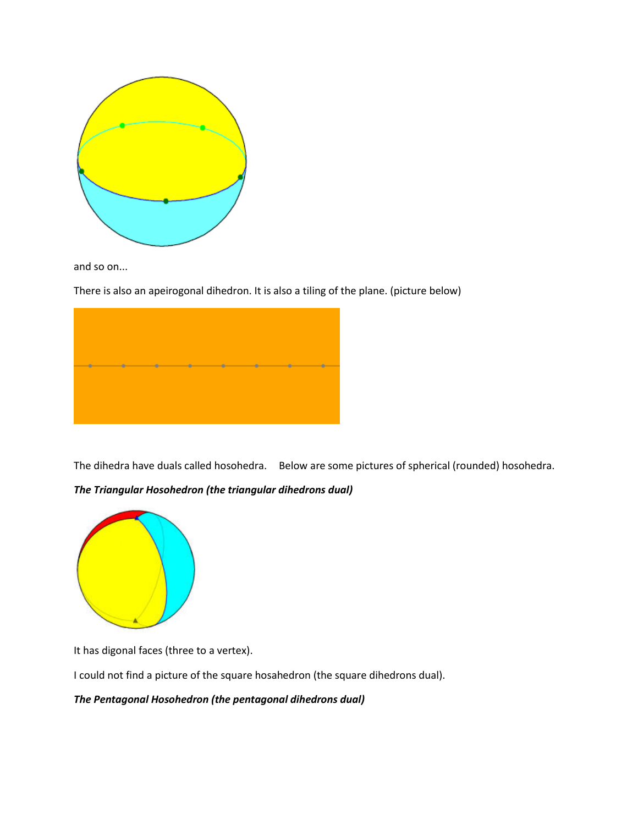![](_page_12_Picture_0.jpeg)

and so on...

There is also an apeirogonal dihedron. It is also a tiling of the plane. (picture below)

![](_page_12_Picture_3.jpeg)

The dihedra have duals called hosohedra. Below are some pictures of spherical (rounded) hosohedra.

## *The Triangular Hosohedron (the triangular dihedrons dual)*

![](_page_12_Figure_6.jpeg)

It has digonal faces (three to a vertex).

I could not find a picture of the square hosahedron (the square dihedrons dual).

*The Pentagonal Hosohedron (the pentagonal dihedrons dual)*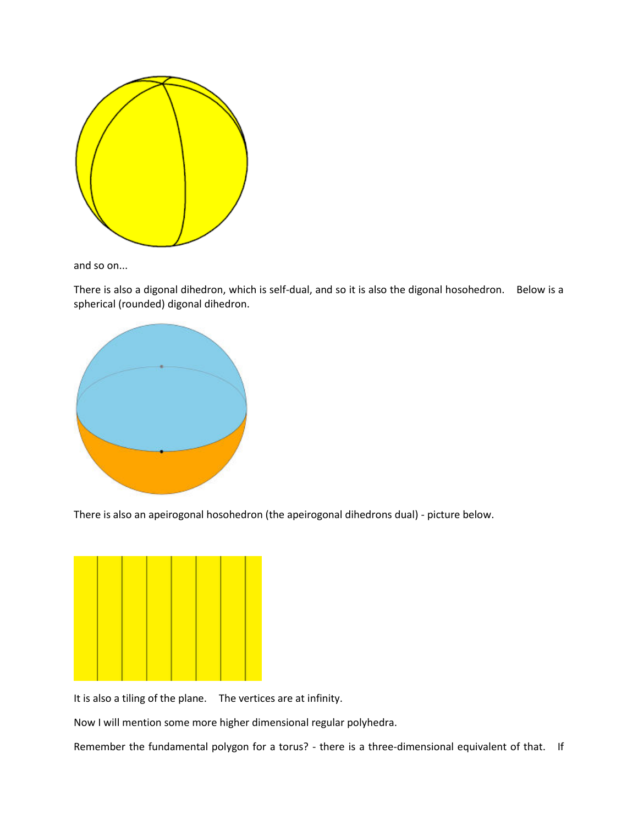![](_page_13_Figure_0.jpeg)

and so on...

There is also a digonal dihedron, which is self-dual, and so it is also the digonal hosohedron. Below is a spherical (rounded) digonal dihedron.

![](_page_13_Figure_3.jpeg)

There is also an apeirogonal hosohedron (the apeirogonal dihedrons dual) - picture below.

![](_page_13_Figure_5.jpeg)

It is also a tiling of the plane. The vertices are at infinity.

Now I will mention some more higher dimensional regular polyhedra.

Remember the fundamental polygon for a torus? - there is a three-dimensional equivalent of that. If